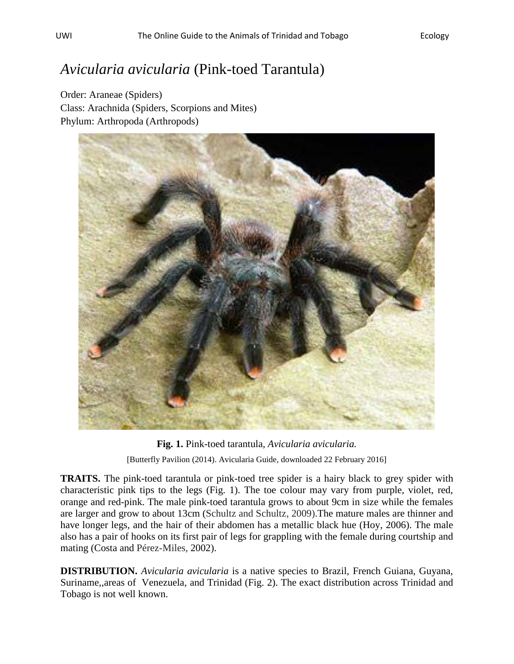## *Avicularia avicularia* (Pink-toed Tarantula)

Order: Araneae (Spiders) Class: Arachnida (Spiders, Scorpions and Mites) Phylum: Arthropoda (Arthropods)



**Fig. 1.** Pink-toed tarantula, *Avicularia avicularia.* [Butterfly Pavilion (2014). Avicularia Guide, downloaded 22 February 2016]

**TRAITS.** The pink-toed tarantula or pink-toed tree spider is a hairy black to grey spider with characteristic pink tips to the legs (Fig. 1). The toe colour may vary from purple, violet, red, orange and red-pink. The male pink-toed tarantula grows to about 9cm in size while the females are larger and grow to about 13cm (Schultz and Schultz, 2009).The mature males are thinner and have longer legs, and the hair of their abdomen has a metallic black hue (Hoy, 2006). The male also has a pair of hooks on its first pair of legs for grappling with the female during courtship and mating (Costa and Pérez-Miles, 2002).

**DISTRIBUTION.** *Avicularia avicularia* is a native species to Brazil, French Guiana, Guyana, Suriname,,areas of Venezuela, and Trinidad (Fig. 2). The exact distribution across Trinidad and Tobago is not well known.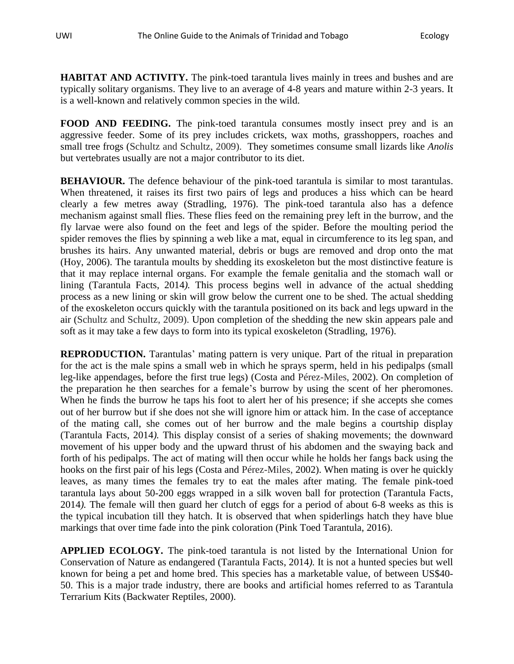**HABITAT AND ACTIVITY.** The pink-toed tarantula lives mainly in trees and bushes and are typically solitary organisms. They live to an average of 4-8 years and mature within 2-3 years. It is a well-known and relatively common species in the wild.

**FOOD AND FEEDING.** The pink-toed tarantula consumes mostly insect prey and is an aggressive feeder. Some of its prey includes crickets, wax moths, grasshoppers, roaches and small tree frogs (Schultz and Schultz, 2009). They sometimes consume small lizards like *Anolis* but vertebrates usually are not a major contributor to its diet.

**BEHAVIOUR.** The defence behaviour of the pink-toed tarantula is similar to most tarantulas. When threatened, it raises its first two pairs of legs and produces a hiss which can be heard clearly a few metres away (Stradling, 1976). The pink-toed tarantula also has a defence mechanism against small flies. These flies feed on the remaining prey left in the burrow, and the fly larvae were also found on the feet and legs of the spider. Before the moulting period the spider removes the flies by spinning a web like a mat, equal in circumference to its leg span, and brushes its hairs. Any unwanted material, debris or bugs are removed and drop onto the mat (Hoy, 2006). The tarantula moults by shedding its exoskeleton but the most distinctive feature is that it may replace internal organs. For example the female genitalia and the stomach wall or lining (Tarantula Facts, 2014*).* This process begins well in advance of the actual shedding process as a new lining or skin will grow below the current one to be shed. The actual shedding of the exoskeleton occurs quickly with the tarantula positioned on its back and legs upward in the air (Schultz and Schultz, 2009). Upon completion of the shedding the new skin appears pale and soft as it may take a few days to form into its typical exoskeleton (Stradling, 1976).

**REPRODUCTION.** Tarantulas' mating pattern is very unique. Part of the ritual in preparation for the act is the male spins a small web in which he sprays sperm, held in his pedipalps (small leg-like appendages, before the first true legs) (Costa and Pérez-Miles, 2002). On completion of the preparation he then searches for a female's burrow by using the scent of her pheromones. When he finds the burrow he taps his foot to alert her of his presence; if she accepts she comes out of her burrow but if she does not she will ignore him or attack him. In the case of acceptance of the mating call, she comes out of her burrow and the male begins a courtship display (Tarantula Facts, 2014*).* This display consist of a series of shaking movements; the downward movement of his upper body and the upward thrust of his abdomen and the swaying back and forth of his pedipalps. The act of mating will then occur while he holds her fangs back using the hooks on the first pair of his legs (Costa and Pérez-Miles, 2002). When mating is over he quickly leaves, as many times the females try to eat the males after mating. The female pink-toed tarantula lays about 50-200 eggs wrapped in a silk woven ball for protection (Tarantula Facts, 2014*).* The female will then guard her clutch of eggs for a period of about 6-8 weeks as this is the typical incubation till they hatch. It is observed that when spiderlings hatch they have blue markings that over time fade into the pink coloration (Pink Toed Tarantula, 2016).

**APPLIED ECOLOGY.** The pink-toed tarantula is not listed by the International Union for Conservation of Nature as endangered (Tarantula Facts, 2014*).* It is not a hunted species but well known for being a pet and home bred. This species has a marketable value, of between US\$40- 50. This is a major trade industry, there are books and artificial homes referred to as Tarantula Terrarium Kits (Backwater Reptiles, 2000).